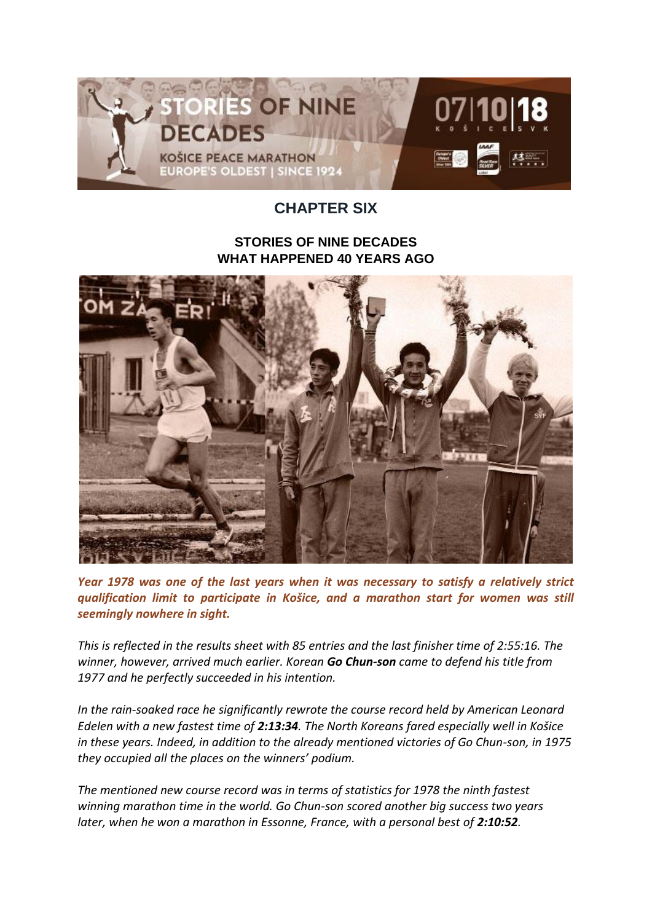

## **CHAPTER SIX**

## **STORIES OF NINE DECADES WHAT HAPPENED 40 YEARS AGO**



*Year 1978 was one of the last years when it was necessary to satisfy a relatively strict qualification limit to participate in Košice, and a marathon start for women was still seemingly nowhere in sight.*

*This is reflected in the results sheet with 85 entries and the last finisher time of 2:55:16. The winner, however, arrived much earlier. Korean Go Chun-son came to defend his title from 1977 and he perfectly succeeded in his intention.*

*In the rain-soaked race he significantly rewrote the course record held by American Leonard Edelen with a new fastest time of 2:13:34. The North Koreans fared especially well in Košice in these years. Indeed, in addition to the already mentioned victories of Go Chun-son, in 1975 they occupied all the places on the winners' podium.*

*The mentioned new course record was in terms of statistics for 1978 the ninth fastest winning marathon time in the world. Go Chun-son scored another big success two years later, when he won a marathon in Essonne, France, with a personal best of 2:10:52.*